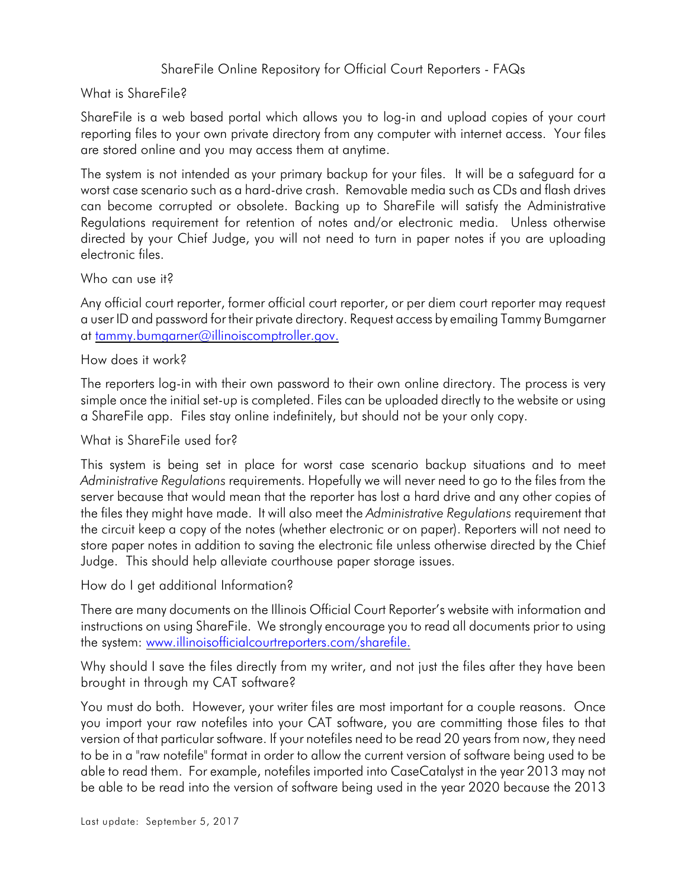## ShareFile Online Repository for Official Court Reporters - FAQs

## What is ShareFile?

ShareFile is a web based portal which allows you to log-in and upload copies of your court reporting files to your own private directory from any computer with internet access. Your files are stored online and you may access them at anytime.

The system is not intended as your primary backup for your files. It will be a safeguard for a worst case scenario such as a hard-drive crash. Removable media such as CDs and flash drives can become corrupted or obsolete. Backing up to ShareFile will satisfy the Administrative Regulations requirement for retention of notes and/or electronic media. Unless otherwise directed by your Chief Judge, you will not need to turn in paper notes if you are uploading electronic files.

Who can use it?

Any official court reporter, former official court reporter, or per diem court reporter may request a user ID and password for their private directory. Request access by emailing Tammy Bumgarner at [tammy.bumgarner@illinoiscomptroller.gov.](mailto:BumgaT@mail.ioc.state.il.us.)

How does it work?

The reporters log-in with their own password to their own online directory. The process is very simple once the initial set-up is completed. Files can be uploaded directly to the website or using a ShareFile app. Files stay online indefinitely, but should not be your only copy.

What is ShareFile used for?

This system is being set in place for worst case scenario backup situations and to meet *Administrative Regulations* requirements. Hopefully we will never need to go to the files from the server because that would mean that the reporter has lost a hard drive and any other copies of the files they might have made. It will also meet the *Administrative Regulations* requirement that the circuit keep a copy of the notes (whether electronic or on paper). Reporters will not need to store paper notes in addition to saving the electronic file unless otherwise directed by the Chief Judge. This should help alleviate courthouse paper storage issues.

How do I get additional Information?

There are many documents on the Illinois Official Court Reporter's website with information and instructions on using ShareFile. We strongly encourage you to read all documents prior to using the system: [www.illinoisofficialcourtreporters.com/sharefile.](http://www.illinoisofficialcourtreporters.com/sharefile.)

Why should I save the files directly from my writer, and not just the files after they have been brought in through my CAT software?

You must do both. However, your writer files are most important for a couple reasons. Once you import your raw notefiles into your CAT software, you are committing those files to that version of that particular software. If your notefiles need to be read 20 years from now, they need to be in a "raw notefile" format in order to allow the current version of software being used to be able to read them. For example, notefiles imported into CaseCatalyst in the year 2013 may not be able to be read into the version of software being used in the year 2020 because the 2013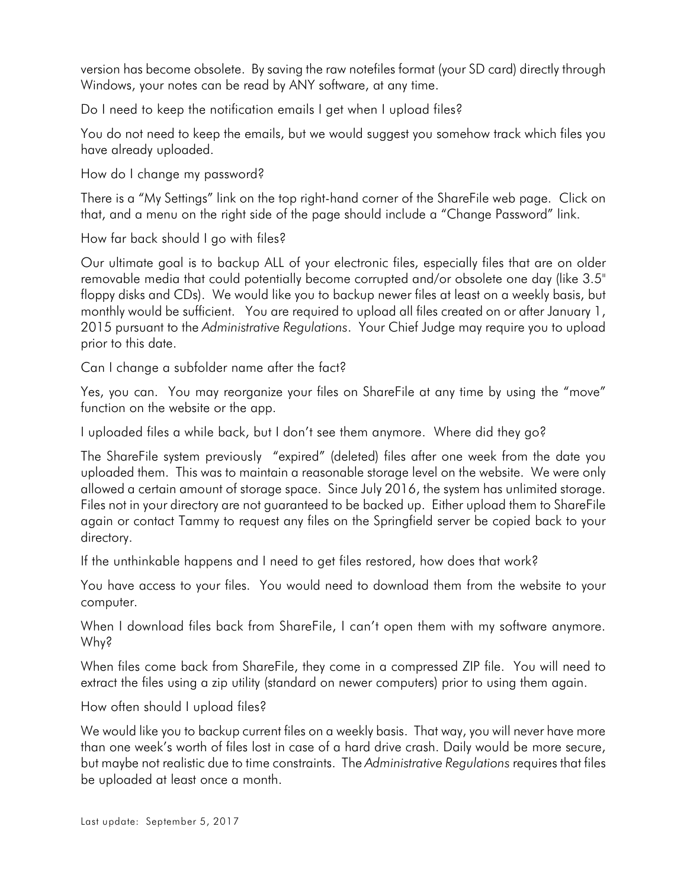version has become obsolete. By saving the raw notefiles format (your SD card) directly through Windows, your notes can be read by ANY software, at any time.

Do I need to keep the notification emails I get when I upload files?

You do not need to keep the emails, but we would suggest you somehow track which files you have already uploaded.

How do I change my password?

There is a "My Settings" link on the top right-hand corner of the ShareFile web page. Click on that, and a menu on the right side of the page should include a "Change Password" link.

How far back should I go with files?

Our ultimate goal is to backup ALL of your electronic files, especially files that are on older removable media that could potentially become corrupted and/or obsolete one day (like 3.5" floppy disks and CDs). We would like you to backup newer files at least on a weekly basis, but monthly would be sufficient. You are required to upload all files created on or after January 1, 2015 pursuant to the *Administrative Regulations*. Your Chief Judge may require you to upload prior to this date.

Can I change a subfolder name after the fact?

Yes, you can. You may reorganize your files on ShareFile at any time by using the "move" function on the website or the app.

I uploaded files a while back, but I don't see them anymore. Where did they go?

The ShareFile system previously "expired" (deleted) files after one week from the date you uploaded them. This was to maintain a reasonable storage level on the website. We were only allowed a certain amount of storage space. Since July 2016, the system has unlimited storage. Files not in your directory are not guaranteed to be backed up. Either upload them to ShareFile again or contact Tammy to request any files on the Springfield server be copied back to your directory.

If the unthinkable happens and I need to get files restored, how does that work?

You have access to your files. You would need to download them from the website to your computer.

When I download files back from ShareFile, I can't open them with my software anymore. Why?

When files come back from ShareFile, they come in a compressed ZIP file. You will need to extract the files using a zip utility (standard on newer computers) prior to using them again.

How often should I upload files?

We would like you to backup current files on a weekly basis. That way, you will never have more than one week's worth of files lost in case of a hard drive crash. Daily would be more secure, but maybe not realistic due to time constraints. The *Administrative Regulations* requires that files be uploaded at least once a month.